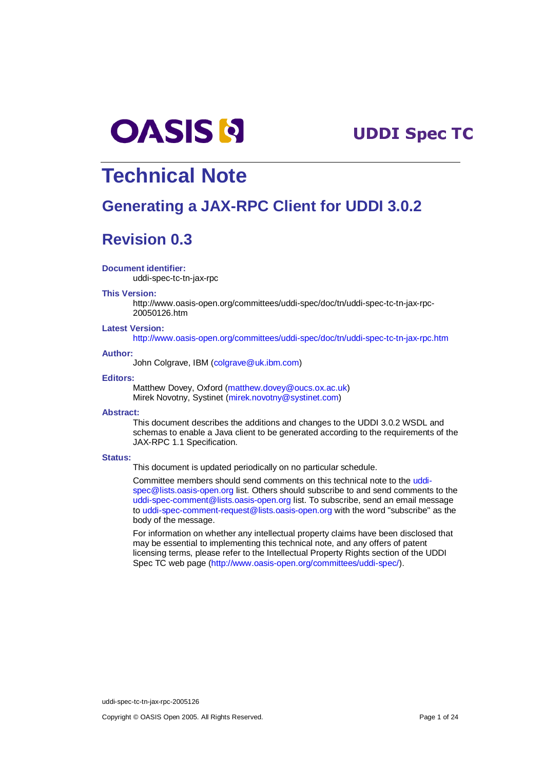

# -

# **Technical Note**

# **Generating a JAX-RPC Client for UDDI 3.0.2**

# **Revision 0.3**

#### **Document identifier:**

uddi-spec-tc-tn-jax-rpc

#### **This Version:**

http://www.oasis-open.org/committees/uddi-spec/doc/tn/uddi-spec-tc-tn-jax-rpc-20050126.htm

#### **Latest Version:**

http://www.oasis-open.org/committees/uddi-spec/doc/tn/uddi-spec-tc-tn-jax-rpc.htm

#### **Author:**

John Colgrave, IBM (colgrave@uk.ibm.com)

#### **Editors:**

Matthew Dovey, Oxford (matthew.dovey@oucs.ox.ac.uk) Mirek Novotny, Systinet (mirek.novotny@systinet.com)

#### **Abstract:**

This document describes the additions and changes to the UDDI 3.0.2 WSDL and schemas to enable a Java client to be generated according to the requirements of the JAX-RPC 1.1 Specification.

#### **Status:**

This document is updated periodically on no particular schedule.

Committee members should send comments on this technical note to the uddispec@lists.oasis-open.org list. Others should subscribe to and send comments to the uddi-spec-comment@lists.oasis-open.org list. To subscribe, send an email message to uddi-spec-comment-request@lists.oasis-open.org with the word "subscribe" as the body of the message.

For information on whether any intellectual property claims have been disclosed that may be essential to implementing this technical note, and any offers of patent licensing terms, please refer to the Intellectual Property Rights section of the UDDI Spec TC web page (http://www.oasis-open.org/committees/uddi-spec/).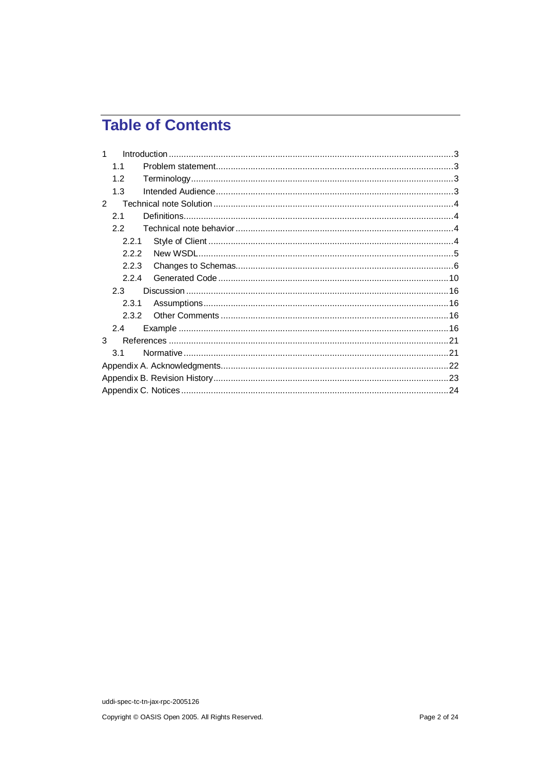# **Table of Contents**

| 1              |  |
|----------------|--|
| 11             |  |
| 1.2            |  |
| 1.3            |  |
| $\overline{2}$ |  |
| 2.1            |  |
| 2.2            |  |
| 2.2.1          |  |
| 2.2.2          |  |
| 2.2.3          |  |
| 2.2.4          |  |
| 2.3            |  |
| 2.3.1          |  |
| 2.3.2          |  |
| 2.4            |  |
| 3              |  |
| 3.1            |  |
|                |  |
|                |  |
|                |  |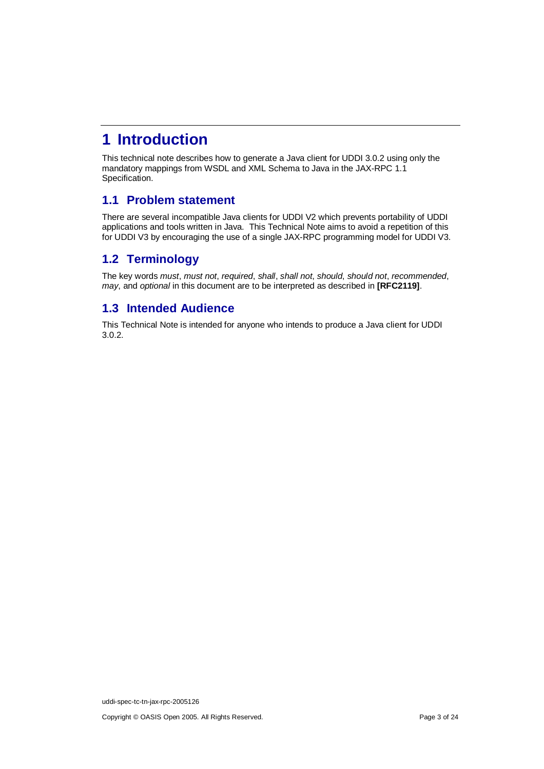# **1 Introduction**

This technical note describes how to generate a Java client for UDDI 3.0.2 using only the mandatory mappings from WSDL and XML Schema to Java in the JAX-RPC 1.1 Specification.

## **1.1 Problem statement**

There are several incompatible Java clients for UDDI V2 which prevents portability of UDDI applications and tools written in Java. This Technical Note aims to avoid a repetition of this for UDDI V3 by encouraging the use of a single JAX-RPC programming model for UDDI V3.

## **1.2 Terminology**

The key words must, must not, required, shall, shall not, should, should not, recommended, may, and optional in this document are to be interpreted as described in **[RFC2119]**.

## **1.3 Intended Audience**

This Technical Note is intended for anyone who intends to produce a Java client for UDDI 3.0.2.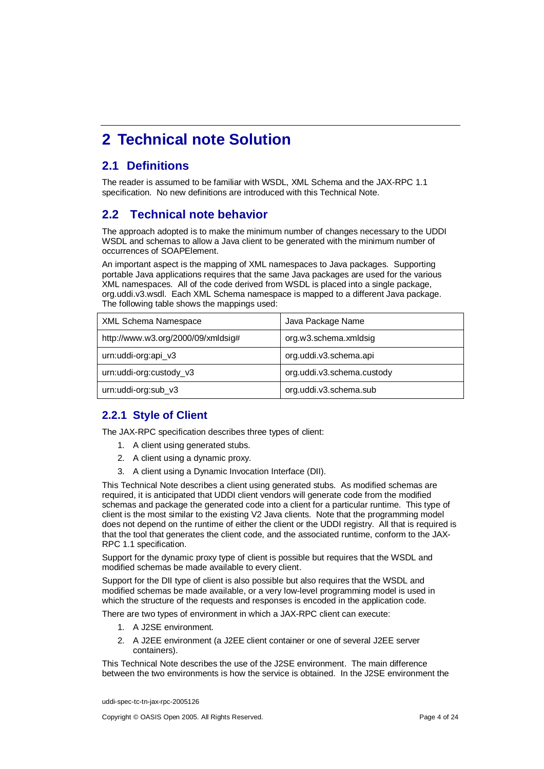# **2 Technical note Solution**

## **2.1 Definitions**

The reader is assumed to be familiar with WSDL, XML Schema and the JAX-RPC 1.1 specification. No new definitions are introduced with this Technical Note.

## **2.2 Technical note behavior**

The approach adopted is to make the minimum number of changes necessary to the UDDI WSDL and schemas to allow a Java client to be generated with the minimum number of occurrences of SOAPElement.

An important aspect is the mapping of XML namespaces to Java packages. Supporting portable Java applications requires that the same Java packages are used for the various XML namespaces. All of the code derived from WSDL is placed into a single package, org.uddi.v3.wsdl. Each XML Schema namespace is mapped to a different Java package. The following table shows the mappings used:

| XML Schema Namespace               | Java Package Name          |
|------------------------------------|----------------------------|
| http://www.w3.org/2000/09/xmldsig# | org.w3.schema.xmldsig      |
| urn:uddi-org:api_v3                | org.uddi.v3.schema.api     |
| urn: uddi-org: custody_v3          | org.uddi.v3.schema.custody |
| urn:uddi-org:sub_v3                | org.uddi.v3.schema.sub     |

## **2.2.1 Style of Client**

The JAX-RPC specification describes three types of client:

- 1. A client using generated stubs.
- 2. A client using a dynamic proxy.
- 3. A client using a Dynamic Invocation Interface (DII).

This Technical Note describes a client using generated stubs. As modified schemas are required, it is anticipated that UDDI client vendors will generate code from the modified schemas and package the generated code into a client for a particular runtime. This type of client is the most similar to the existing V2 Java clients. Note that the programming model does not depend on the runtime of either the client or the UDDI registry. All that is required is that the tool that generates the client code, and the associated runtime, conform to the JAX-RPC 1.1 specification.

Support for the dynamic proxy type of client is possible but requires that the WSDL and modified schemas be made available to every client.

Support for the DII type of client is also possible but also requires that the WSDL and modified schemas be made available, or a very low-level programming model is used in which the structure of the requests and responses is encoded in the application code.

There are two types of environment in which a JAX-RPC client can execute:

- 1. A J2SE environment.
- 2. A J2EE environment (a J2EE client container or one of several J2EE server containers).

This Technical Note describes the use of the J2SE environment. The main difference between the two environments is how the service is obtained. In the J2SE environment the

uddi-spec-tc-tn-jax-rpc-2005126

Copyright © OASIS Open 2005. All Rights Reserved. Page 4 of 24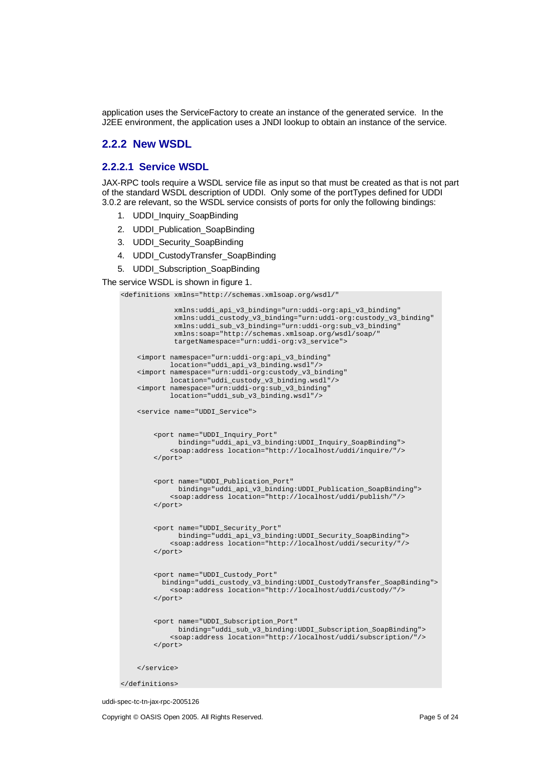application uses the ServiceFactory to create an instance of the generated service. In the J2EE environment, the application uses a JNDI lookup to obtain an instance of the service.

## **2.2.2 New WSDL**

### **2.2.2.1 Service WSDL**

JAX-RPC tools require a WSDL service file as input so that must be created as that is not part of the standard WSDL description of UDDI. Only some of the portTypes defined for UDDI 3.0.2 are relevant, so the WSDL service consists of ports for only the following bindings:

- 1. UDDI\_Inquiry\_SoapBinding
- 2. UDDI Publication SoapBinding
- 3. UDDI\_Security\_SoapBinding
- 4. UDDI CustodyTransfer SoapBinding
- 5. UDDI\_Subscription\_SoapBinding

The service WSDL is shown in figure 1.

```
<definitions xmlns="http://schemas.xmlsoap.org/wsdl/"
```

```
xmlns:uddi_api_v3_binding="urn:uddi-org:api_v3_binding"
         xmlns:uddi_custody_v3_binding="urn:uddi-org:custody_v3_binding"
         xmlns:uddi_sub_v3_binding="urn:uddi-org:sub_v3_binding"
         xmlns:soap="http://schemas.xmlsoap.org/wsdl/soap/"
         targetNamespace="urn:uddi-org:v3_service">
<import namespace="urn:uddi-org:api_v3_binding"
        location="uddi_api_v3_binding.wsdl"/>
<import namespace="urn:uddi-org:custody_v3_binding"
        location="uddi_custody_v3_binding.wsdl"/>
<import namespace="urn:uddi-org:sub_v3_binding"
        location="uddi_sub_v3_binding.wsdl"/>
<service name="UDDI_Service">
    <port name="UDDI_Inquiry_Port"
          binding="uddi_api_v3_binding:UDDI_Inquiry_SoapBinding">
        <soap:address location="http://localhost/uddi/inquire/"/>
    </port>
    <port name="UDDI_Publication_Port"
         binding="uddi_api_v3_binding:UDDI_Publication_SoapBinding">
        <soap:address location="http://localhost/uddi/publish/"/>
    </port>
    <port name="UDDI_Security_Port"
         binding="uddi_api_v3_binding:UDDI_Security_SoapBinding">
        <soap:address location="http://localhost/uddi/security/"/>
    </port>
    <port name="UDDI_Custody_Port"
     binding="uddi_custody_v3_binding:UDDI_CustodyTransfer_SoapBinding">
        <soap:address location="http://localhost/uddi/custody/"/>
    \langle /port >
    <port name="UDDI_Subscription_Port"
          binding="uddi_sub_v3_binding:UDDI_Subscription_SoapBinding">
        <soap:address location="http://localhost/uddi/subscription/"/>
    </port>
</service>
```
</definitions>

uddi-spec-tc-tn-jax-rpc-2005126

Copyright © OASIS Open 2005. All Rights Reserved. Page 5 of 24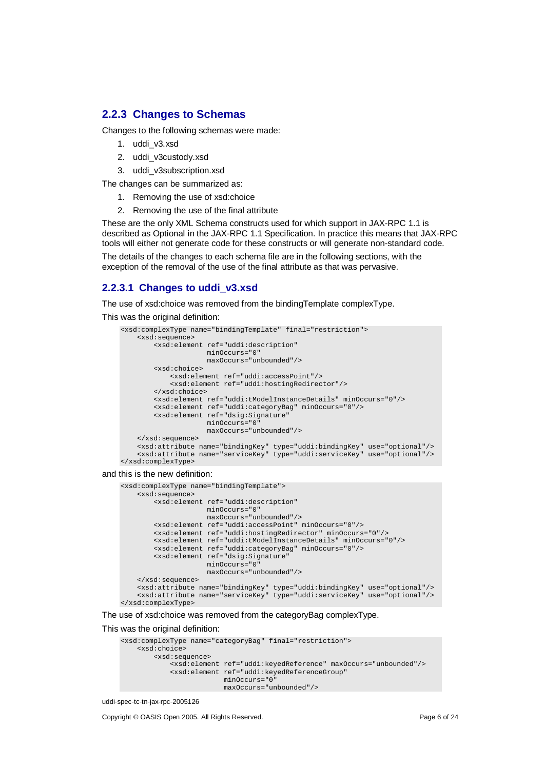## **2.2.3 Changes to Schemas**

Changes to the following schemas were made:

- 1. uddi\_v3.xsd
- 2. uddi\_v3custody.xsd
- 3. uddi\_v3subscription.xsd

The changes can be summarized as:

- 1. Removing the use of xsd:choice
- 2. Removing the use of the final attribute

These are the only XML Schema constructs used for which support in JAX-RPC 1.1 is described as Optional in the JAX-RPC 1.1 Specification. In practice this means that JAX-RPC tools will either not generate code for these constructs or will generate non-standard code.

The details of the changes to each schema file are in the following sections, with the exception of the removal of the use of the final attribute as that was pervasive.

## **2.2.3.1 Changes to uddi\_v3.xsd**

The use of xsd:choice was removed from the bindingTemplate complexType.

This was the original definition:

```
<xsd:complexType name="bindingTemplate" final="restriction">
    <xsd:sequence>
       <xsd:element ref="uddi:description"
                    minOccurs="0"
                    maxOccurs="unbounded"/>
       <xsd:choice>
            <xsd:element ref="uddi:accessPoint"/>
            <xsd:element ref="uddi:hostingRedirector"/>
       </xsd:choice>
        <xsd:element ref="uddi:tModelInstanceDetails" minOccurs="0"/>
       <xsd:element ref="uddi:categoryBag" minOccurs="0"/>
       <xsd:element ref="dsig:Signature"
                    minOccurs="0"
                    maxOccurs="unbounded"/>
    </xsd:sequence>
    <xsd:attribute name="bindingKey" type="uddi:bindingKey" use="optional"/>
    <xsd:attribute name="serviceKey" type="uddi:serviceKey" use="optional"/>
</xsd:complexType>
```
and this is the new definition:

```
<xsd:complexType name="bindingTemplate">
    <xsd:sequence>
        <xsd:element ref="uddi:description"
                     minOccurs="0"
                     maxOccurs="unbounded"/>
       <xsd:element ref="uddi:accessPoint" minOccurs="0"/>
        <xsd:element ref="uddi:hostingRedirector" minOccurs="0"/>
        <xsd:element ref="uddi:tModelInstanceDetails" minOccurs="0"/>
        <xsd:element ref="uddi:categoryBag" minOccurs="0"/>
        <xsd:element ref="dsig:Signature"
                    minOccurs="0"
                    maxOccurs="unbounded"/>
    </xsd:sequence>
    <xsd:attribute name="bindingKey" type="uddi:bindingKey" use="optional"/>
    <xsd:attribute name="serviceKey" type="uddi:serviceKey" use="optional"/>
</xsd:complexType>
```
The use of xsd:choice was removed from the categoryBag complexType.

This was the original definition:

```
<xsd:complexType name="categoryBag" final="restriction">
   <xsd:choice>
       <xsd:sequence>
            <xsd:element ref="uddi:keyedReference" maxOccurs="unbounded"/>
            <xsd:element ref="uddi:keyedReferenceGroup"
                        minOccurs="0"
                         maxOccurs="unbounded"/>
```

```
uddi-spec-tc-tn-jax-rpc-2005126
```
Copyright © OASIS Open 2005. All Rights Reserved. Page 6 of 24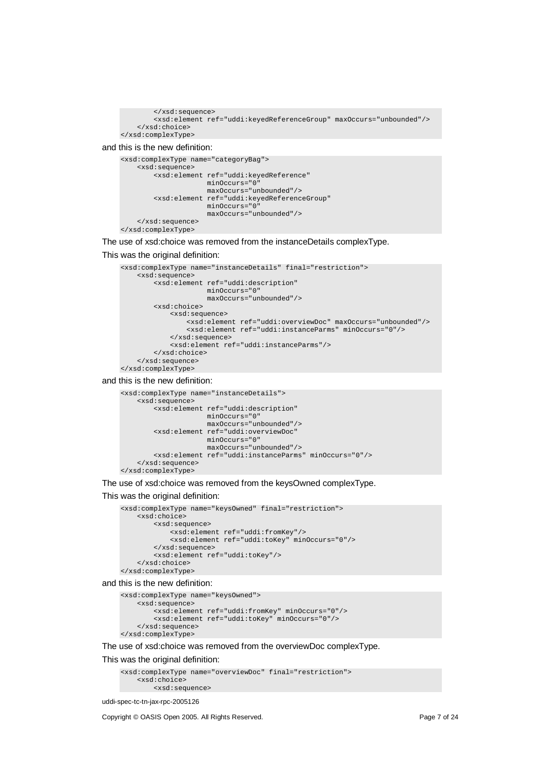```
</xsd:sequence>
        <xsd:element ref="uddi:keyedReferenceGroup" maxOccurs="unbounded"/>
    </xsd:choice>
</xsd:complexType>
```
and this is the new definition:

```
<xsd:complexType name="categoryBag">
    <xsd:sequence>
        <xsd:element ref="uddi:keyedReference"
                     minOccurs="0"
                     maxOccurs="unbounded"/>
        <xsd:element ref="uddi:keyedReferenceGroup"
                     minOccurs="0"
                     maxOccurs="unbounded"/>
    </xsd:sequence>
</xsd:complexType>
```
The use of xsd:choice was removed from the instanceDetails complexType.

#### This was the original definition:

```
<xsd:complexType name="instanceDetails" final="restriction">
    <xsd:sequence>
        <xsd:element ref="uddi:description"
                     minOccurs="0"
                    maxOccurs="unbounded"/>
        <xsd:choice>
            <xsd:sequence>
                <xsd:element ref="uddi:overviewDoc" maxOccurs="unbounded"/>
                <xsd:element ref="uddi:instanceParms" minOccurs="0"/>
            </xsd:sequence>
            <xsd:element ref="uddi:instanceParms"/>
        </xsd:choice>
    </xsd:sequence>
</xsd:complexType>
```
#### and this is the new definition:

```
<xsd:complexType name="instanceDetails">
    <xsd:sequence>
        <xsd:element ref="uddi:description"
                     minOccurs="0"
                    maxOccurs="unbounded"/>
        <xsd:element ref="uddi:overviewDoc"
                    minOccurs="0"
                     maxOccurs="unbounded"/>
        <xsd:element ref="uddi:instanceParms" minOccurs="0"/>
    </xsd:sequence>
</xsd:complexType>
```
The use of xsd:choice was removed from the keysOwned complexType.

#### This was the original definition:

```
<xsd:complexType name="keysOwned" final="restriction">
    <xsd:choice>
        <xsd:sequence>
            <xsd:element ref="uddi:fromKey"/>
            <xsd:element ref="uddi:toKey" minOccurs="0"/>
        </xsd:sequence>
        <xsd:element ref="uddi:toKey"/>
    </xsd:choice>
</xsd:complexType>
```
and this is the new definition:

```
<xsd:complexType name="keysOwned">
    <xsd:sequence>
        <xsd:element ref="uddi:fromKey" minOccurs="0"/>
        <xsd:element ref="uddi:toKey" minOccurs="0"/>
    </xsd:sequence>
</xsd:complexType>
```
The use of xsd:choice was removed from the overviewDoc complexType.

#### This was the original definition:

```
<xsd:complexType name="overviewDoc" final="restriction">
   <xsd:choice>
       <xsd:sequence>
```
uddi-spec-tc-tn-jax-rpc-2005126

Copyright © OASIS Open 2005. All Rights Reserved. Page 7 of 24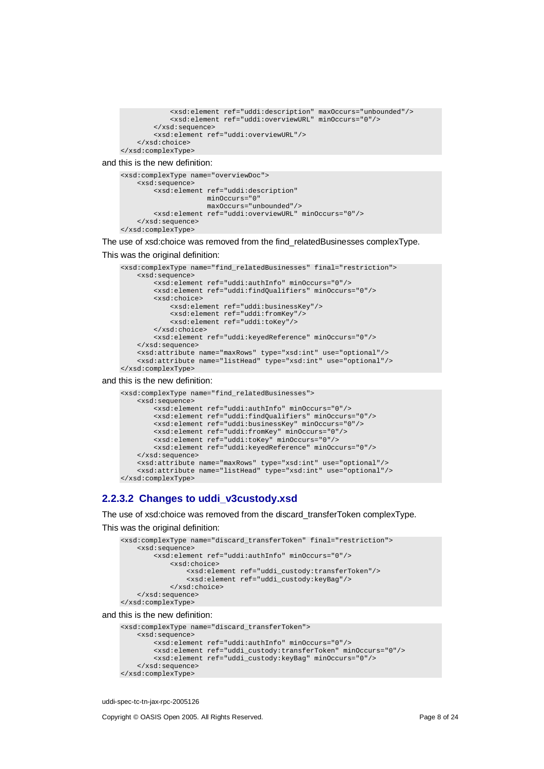```
<xsd:element ref="uddi:description" maxOccurs="unbounded"/>
            <xsd:element ref="uddi:overviewURL" minOccurs="0"/>
        </xsd:sequence>
        <xsd:element ref="uddi:overviewURL"/>
    </xsd:choice>
</xsd:complexType>
```
and this is the new definition:

```
<xsd:complexType name="overviewDoc">
    <xsd:sequence>
       <xsd:element ref="uddi:description"
                     minOccurs="0"
                     maxOccurs="unbounded"/>
        <xsd:element ref="uddi:overviewURL" minOccurs="0"/>
    </xsd:sequence>
</xsd:complexType>
```
The use of xsd:choice was removed from the find\_relatedBusinesses complexType.

#### This was the original definition:

```
<xsd:complexType name="find_relatedBusinesses" final="restriction">
    <xsd:sequence>
        <xsd:element ref="uddi:authInfo" minOccurs="0"/>
        <xsd:element ref="uddi:findQualifiers" minOccurs="0"/>
        <xsd:choice>
            <xsd:element ref="uddi:businessKey"/>
            <xsd:element ref="uddi:fromKey"/>
            <xsd:element ref="uddi:toKey"/>
        </xsd:choice>
        <xsd:element ref="uddi:keyedReference" minOccurs="0"/>
    </xsd:sequence>
    <xsd:attribute name="maxRows" type="xsd:int" use="optional"/>
    <xsd:attribute name="listHead" type="xsd:int" use="optional"/>
</xsd:complexType>
```
#### and this is the new definition:

```
<xsd:complexType name="find_relatedBusinesses">
    <xsd:sequence>
        <xsd:element ref="uddi:authInfo" minOccurs="0"/>
        <xsd:element ref="uddi:findQualifiers" minOccurs="0"/>
        <xsd:element ref="uddi:businessKey" minOccurs="0"/>
        <xsd:element ref="uddi:fromKey" minOccurs="0"/>
        <xsd:element ref="uddi:toKey" minOccurs="0"/>
        <xsd:element ref="uddi:keyedReference" minOccurs="0"/>
    </xsd:sequence>
    <xsd:attribute name="maxRows" type="xsd:int" use="optional"/>
    <xsd:attribute name="listHead" type="xsd:int" use="optional"/>
</xsd:complexType>
```
### **2.2.3.2 Changes to uddi\_v3custody.xsd**

The use of xsd:choice was removed from the discard\_transferToken complexType. This was the original definition:

```
<xsd:complexType name="discard_transferToken" final="restriction">
    <xsd:sequence>
        <xsd:element ref="uddi:authInfo" minOccurs="0"/>
            <xsd:choice>
                <xsd:element ref="uddi_custody:transferToken"/>
                <xsd:element ref="uddi_custody:keyBag"/>
            </xsd:choice>
    </xsd:sequence>
</xsd:complexType>
```
and this is the new definition:

```
<xsd:complexType name="discard_transferToken">
    <xsd:sequence>
       <xsd:element ref="uddi:authInfo" minOccurs="0"/>
        <xsd:element ref="uddi_custody:transferToken" minOccurs="0"/>
        <xsd:element ref="uddi_custody:keyBag" minOccurs="0"/>
    </xsd:sequence>
</xsd:complexType>
```
uddi-spec-tc-tn-jax-rpc-2005126

Copyright © OASIS Open 2005. All Rights Reserved. Page 8 of 24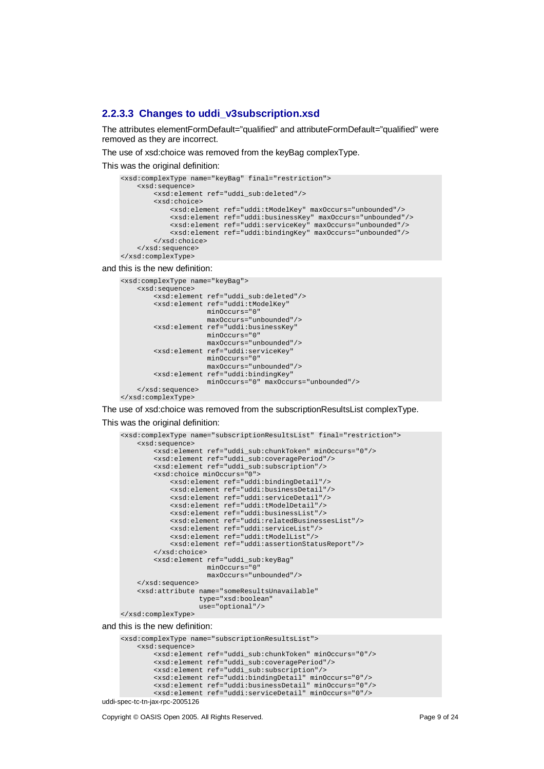#### **2.2.3.3 Changes to uddi\_v3subscription.xsd**

The attributes elementFormDefault="qualified" and attributeFormDefault="qualified" were removed as they are incorrect.

The use of xsd:choice was removed from the keyBag complexType.

This was the original definition:

```
<xsd:complexType name="keyBag" final="restriction">
    <xsd:sequence>
        <xsd:element ref="uddi_sub:deleted"/>
        <xsd:choice>
            <xsd:element ref="uddi:tModelKey" maxOccurs="unbounded"/>
            <xsd:element ref="uddi:businessKey" maxOccurs="unbounded"/>
            <xsd:element ref="uddi:serviceKey" maxOccurs="unbounded"/>
            <xsd:element ref="uddi:bindingKey" maxOccurs="unbounded"/>
        </xsd:choice>
    </xsd:sequence>
</xsd:complexType>
```
and this is the new definition:

```
<xsd:complexType name="keyBag">
    <xsd:sequence>
        <xsd:element ref="uddi_sub:deleted"/>
        <xsd:element ref="uddi:tModelKey"
                     minOccurs="0"
                     maxOccurs="unbounded"/>
        <xsd:element ref="uddi:businessKey"
                     minOccurs="0"
                     maxOccurs="unbounded"/>
        <xsd:element ref="uddi:serviceKey"
                     minOccurs="0"
                     maxOccurs="unbounded"/>
        <xsd:element ref="uddi:bindingKey"
                     minOccurs="0" maxOccurs="unbounded"/>
    </xsd:sequence>
</xsd:complexType>
```
The use of xsd:choice was removed from the subscriptionResultsList complexType.

#### This was the original definition:

```
<xsd:complexType name="subscriptionResultsList" final="restriction">
    <xsd:sequence>
        <xsd:element ref="uddi_sub:chunkToken" minOccurs="0"/>
        <xsd:element ref="uddi_sub:coveragePeriod"/>
        <xsd:element ref="uddi_sub:subscription"/>
        <xsd:choice minOccurs="0">
            <xsd:element ref="uddi:bindingDetail"/>
            <xsd:element ref="uddi:businessDetail"/>
            <xsd:element ref="uddi:serviceDetail"/>
            <xsd:element ref="uddi:tModelDetail"/>
            <xsd:element ref="uddi:businessList"/>
            <xsd:element ref="uddi:relatedBusinessesList"/>
            <xsd:element ref="uddi:serviceList"/>
            <xsd:element ref="uddi:tModelList"/>
            <xsd:element ref="uddi:assertionStatusReport"/>
        </xsd:choice>
        <xsd:element ref="uddi_sub:keyBag"
                     minOccurs="0"
                     maxOccurs="unbounded"/>
    </xsd:sequence>
    <xsd:attribute name="someResultsUnavailable"
                   type="xsd:boolean"
                   use="optional"/>
</xsd:complexType>
```
and this is the new definition:

```
uddi-spec-tc-tn-jax-rpc-2005126
    <xsd:complexType name="subscriptionResultsList">
        <xsd:sequence>
            <xsd:element ref="uddi_sub:chunkToken" minOccurs="0"/>
             <xsd:element ref="uddi_sub:coveragePeriod"/>
             <xsd:element ref="uddi_sub:subscription"/>
             <xsd:element ref="uddi:bindingDetail" minOccurs="0"/>
             <xsd:element ref="uddi:businessDetail" minOccurs="0"/>
            <xsd:element ref="uddi:serviceDetail" minOccurs="0"/>
```
Copyright © OASIS Open 2005. All Rights Reserved. Page 9 of 24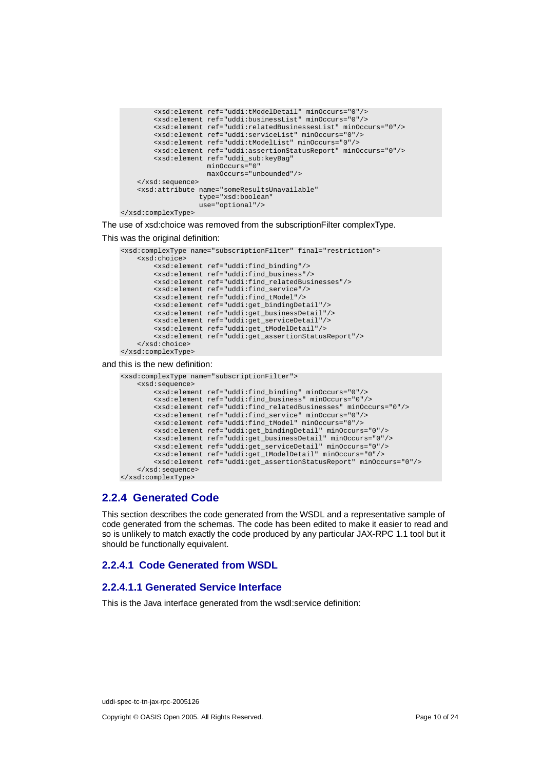```
<xsd:element ref="uddi:tModelDetail" minOccurs="0"/>
    <xsd:element ref="uddi:businessList" minOccurs="0"/>
    <xsd:element ref="uddi:relatedBusinessesList" minOccurs="0"/>
    <xsd:element ref="uddi:serviceList" minOccurs="0"/>
    <xsd:element ref="uddi:tModelList" minOccurs="0"/>
    <xsd:element ref="uddi:assertionStatusReport" minOccurs="0"/>
    <xsd:element ref="uddi_sub:keyBag"
                minOccurs="0"
                 maxOccurs="unbounded"/>
</xsd:sequence>
<xsd:attribute name="someResultsUnavailable"
               type="xsd:boolean"
               use="optional"/>
```
</xsd:complexType>

The use of xsd:choice was removed from the subscriptionFilter complexType.

#### This was the original definition:

```
<xsd:complexType name="subscriptionFilter" final="restriction">
    <xsd:choice>
        <xsd:element ref="uddi:find_binding"/>
        <xsd:element ref="uddi:find_business"/>
        <xsd:element ref="uddi:find_relatedBusinesses"/>
        <xsd:element ref="uddi:find_service"/>
        <xsd:element ref="uddi:find_tModel"/>
       <xsd:element ref="uddi:get_bindingDetail"/>
        <xsd:element ref="uddi:get_businessDetail"/>
       <xsd:element ref="uddi:get_serviceDetail"/>
        <xsd:element ref="uddi:get_tModelDetail"/>
       <xsd:element ref="uddi:get_assertionStatusReport"/>
    </xsd:choice>
```
</xsd:complexType>

and this is the new definition:

```
<xsd:complexType name="subscriptionFilter">
    <xsd:sequence>
        <xsd:element ref="uddi:find_binding" minOccurs="0"/>
        <xsd:element ref="uddi:find_business" minOccurs="0"/>
        <xsd:element ref="uddi:find_relatedBusinesses" minOccurs="0"/>
        <xsd:element ref="uddi:find_service" minOccurs="0"/>
        <xsd:element ref="uddi:find_tModel" minOccurs="0"/>
        <xsd:element ref="uddi:get_bindingDetail" minOccurs="0"/>
        <xsd:element ref="uddi:get_businessDetail" minOccurs="0"/>
        <xsd:element ref="uddi:get_serviceDetail" minOccurs="0"/>
        <xsd:element ref="uddi:get_tModelDetail" minOccurs="0"/>
        <xsd:element ref="uddi:get_assertionStatusReport" minOccurs="0"/>
    </xsd:sequence>
</xsd:complexType>
```
## **2.2.4 Generated Code**

This section describes the code generated from the WSDL and a representative sample of code generated from the schemas. The code has been edited to make it easier to read and so is unlikely to match exactly the code produced by any particular JAX-RPC 1.1 tool but it should be functionally equivalent.

### **2.2.4.1 Code Generated from WSDL**

### **2.2.4.1.1 Generated Service Interface**

This is the Java interface generated from the wsdl:service definition:

uddi-spec-tc-tn-jax-rpc-2005126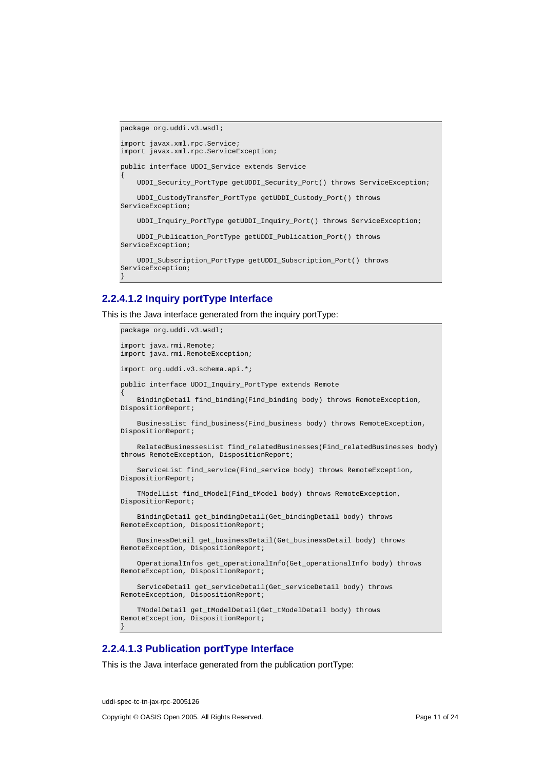```
package org.uddi.v3.wsdl;
import javax.xml.rpc.Service;
import javax.xml.rpc.ServiceException;
public interface UDDI_Service extends Service
{
   UDDI_Security_PortType getUDDI_Security_Port() throws ServiceException;
   UDDI_CustodyTransfer_PortType getUDDI_Custody_Port() throws
ServiceException;
   UDDI_Inquiry_PortType getUDDI_Inquiry_Port() throws ServiceException;
   UDDI_Publication_PortType getUDDI_Publication_Port() throws
ServiceException;
   UDDI_Subscription_PortType getUDDI_Subscription_Port() throws
ServiceException;
}
```
### **2.2.4.1.2 Inquiry portType Interface**

This is the Java interface generated from the inquiry portType:

```
package org.uddi.v3.wsdl;
import java.rmi.Remote;
import java.rmi.RemoteException;
import org.uddi.v3.schema.api.*;
public interface UDDI_Inquiry_PortType extends Remote
{
    BindingDetail find_binding(Find_binding body) throws RemoteException,
DispositionReport;
    BusinessList find_business(Find_business body) throws RemoteException,
DispositionReport;
    RelatedBusinessesList find_relatedBusinesses(Find_relatedBusinesses body)
throws RemoteException, DispositionReport;
    ServiceList find_service(Find_service body) throws RemoteException,
DispositionReport;
    TModelList find_tModel(Find_tModel body) throws RemoteException,
DispositionReport;
    BindingDetail get_bindingDetail(Get_bindingDetail body) throws
RemoteException, DispositionReport;
    BusinessDetail get_businessDetail(Get_businessDetail body) throws
RemoteException, DispositionReport;
    OperationalInfos get_operationalInfo(Get_operationalInfo body) throws
RemoteException, DispositionReport;
    ServiceDetail get_serviceDetail(Get_serviceDetail body) throws
RemoteException, DispositionReport;
    TModelDetail get_tModelDetail(Get_tModelDetail body) throws
RemoteException, DispositionReport;
}
```
## **2.2.4.1.3 Publication portType Interface**

This is the Java interface generated from the publication portType:

uddi-spec-tc-tn-jax-rpc-2005126 Copyright © OASIS Open 2005. All Rights Reserved. Page 11 of 24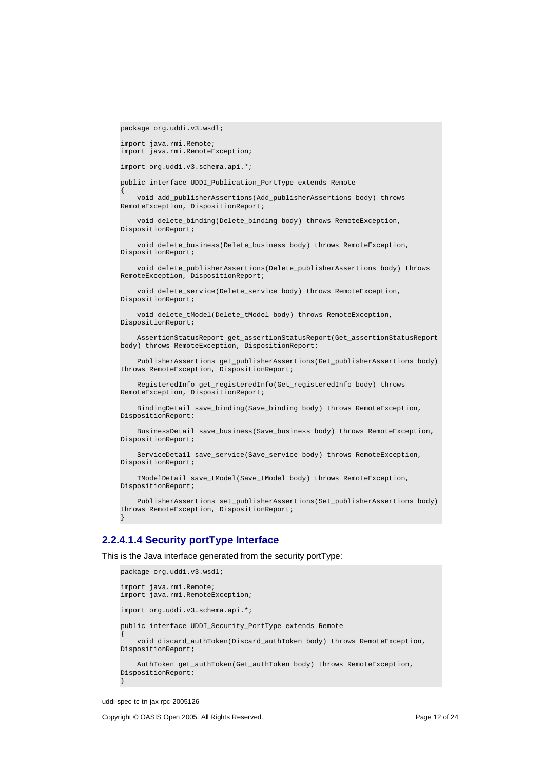```
package org.uddi.v3.wsdl;
```
{

```
import java.rmi.Remote;
import java.rmi.RemoteException;
```
import org.uddi.v3.schema.api.\*;

public interface UDDI\_Publication\_PortType extends Remote

void add\_publisherAssertions(Add\_publisherAssertions body) throws RemoteException, DispositionReport;

void delete binding(Delete binding body) throws RemoteException, DispositionReport;

void delete\_business(Delete\_business body) throws RemoteException, DispositionReport;

void delete\_publisherAssertions(Delete\_publisherAssertions body) throws RemoteException, DispositionReport;

void delete\_service(Delete\_service body) throws RemoteException, DispositionReport;

void delete\_tModel(Delete\_tModel body) throws RemoteException, DispositionReport;

AssertionStatusReport get\_assertionStatusReport(Get\_assertionStatusReport body) throws RemoteException, DispositionReport;

PublisherAssertions get\_publisherAssertions(Get\_publisherAssertions body) throws RemoteException, DispositionReport;

RegisteredInfo get\_registeredInfo(Get\_registeredInfo body) throws RemoteException, DispositionReport;

BindingDetail save\_binding(Save\_binding body) throws RemoteException, DispositionReport;

BusinessDetail save\_business(Save\_business body) throws RemoteException, DispositionReport;

ServiceDetail save\_service(Save\_service body) throws RemoteException, DispositionReport;

TModelDetail save\_tModel(Save\_tModel body) throws RemoteException, DispositionReport;

PublisherAssertions set\_publisherAssertions(Set\_publisherAssertions body) throws RemoteException, DispositionReport; }

## **2.2.4.1.4 Security portType Interface**

This is the Java interface generated from the security portType:

```
package org.uddi.v3.wsdl;
import java.rmi.Remote;
import java.rmi.RemoteException;
import org.uddi.v3.schema.api.*;
public interface UDDI_Security_PortType extends Remote
{
    void discard_authToken(Discard_authToken body) throws RemoteException,
DispositionReport;
    AuthToken get_authToken(Get_authToken body) throws RemoteException,
DispositionReport;
}
```
uddi-spec-tc-tn-jax-rpc-2005126

Copyright © OASIS Open 2005. All Rights Reserved. Page 12 of 24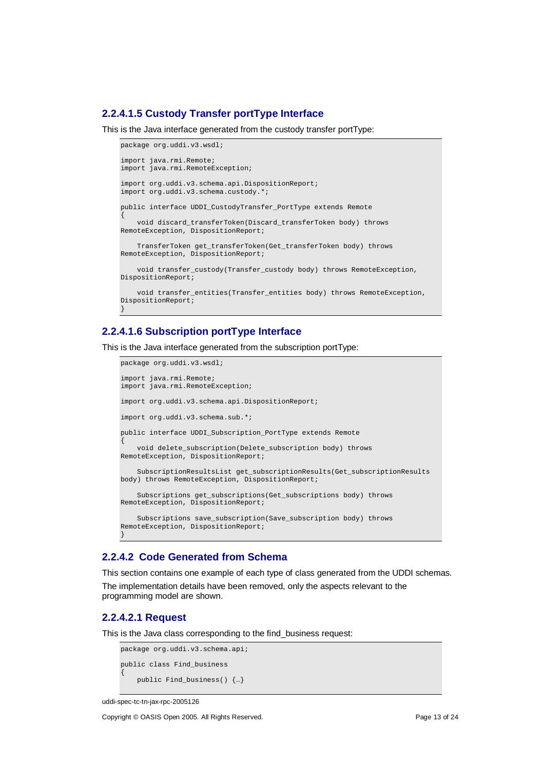### **2.2.4.1.5 Custody Transfer portType Interface**

This is the Java interface generated from the custody transfer portType:

```
package org.uddi.v3.wsdl;
import java.rmi.Remote;
import java.rmi.RemoteException;
import org.uddi.v3.schema.api.DispositionReport;
import org.uddi.v3.schema.custody.*;
public interface UDDI_CustodyTransfer_PortType extends Remote
{
    void discard_transferToken(Discard_transferToken body) throws
RemoteException, DispositionReport;
   TransferToken get_transferToken(Get_transferToken body) throws
RemoteException, DispositionReport;
   void transfer custody(Transfer custody body) throws RemoteException,
DispositionReport;
   void transfer_entities(Transfer_entities body) throws RemoteException,
DispositionReport;
}
```
## **2.2.4.1.6 Subscription portType Interface**

This is the Java interface generated from the subscription portType:

```
package org.uddi.v3.wsdl;
import java.rmi.Remote;
import java.rmi.RemoteException;
import org.uddi.v3.schema.api.DispositionReport;
import org.uddi.v3.schema.sub.*;
public interface UDDI_Subscription_PortType extends Remote
{
    void delete_subscription(Delete_subscription body) throws
RemoteException, DispositionReport;
    SubscriptionResultsList get_subscriptionResults(Get_subscriptionResults
body) throws RemoteException, DispositionReport;
    Subscriptions get_subscriptions(Get_subscriptions body) throws
RemoteException, DispositionReport;
   Subscriptions save subscription(Save subscription body) throws
RemoteException, DispositionReport;
}
```
### **2.2.4.2 Code Generated from Schema**

This section contains one example of each type of class generated from the UDDI schemas.

The implementation details have been removed, only the aspects relevant to the programming model are shown.

## **2.2.4.2.1 Request**

This is the Java class corresponding to the find\_business request:

```
package org.uddi.v3.schema.api;
public class Find_business
{
   public Find_business() {…}
```

```
uddi-spec-tc-tn-jax-rpc-2005126
```
Copyright © OASIS Open 2005. All Rights Reserved. Page 13 of 24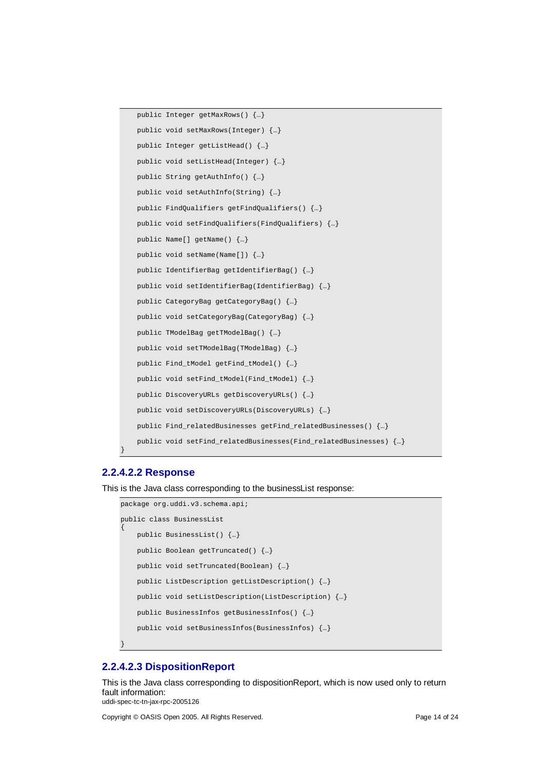```
public Integer getMaxRows() {…}
public void setMaxRows(Integer) {…}
public Integer getListHead() {…}
public void setListHead(Integer) {…}
public String getAuthInfo() {…}
public void setAuthInfo(String) {…}
public FindQualifiers getFindQualifiers() {…}
public void setFindQualifiers(FindQualifiers) {…}
public Name[] getName() {…}
public void setName(Name[]) {…}
public IdentifierBag getIdentifierBag() {…}
public void setIdentifierBag(IdentifierBag) {…}
public CategoryBag getCategoryBag() {…}
public void setCategoryBag(CategoryBag) {…}
public TModelBag getTModelBag() {…}
public void setTModelBag(TModelBag) {…}
public Find_tModel getFind_tModel() {…}
public void setFind_tModel(Find_tModel) {…}
public DiscoveryURLs getDiscoveryURLs() {…}
public void setDiscoveryURLs(DiscoveryURLs) {…}
public Find_relatedBusinesses getFind_relatedBusinesses() {…}
public void setFind_relatedBusinesses(Find_relatedBusinesses) {…}
```
### **2.2.4.2.2 Response**

}

This is the Java class corresponding to the businessList response:

```
package org.uddi.v3.schema.api;
public class BusinessList
{
   public BusinessList() {…}
   public Boolean getTruncated() {…}
   public void setTruncated(Boolean) {…}
   public ListDescription getListDescription() {…}
   public void setListDescription(ListDescription) {…}
   public BusinessInfos getBusinessInfos() {…}
    public void setBusinessInfos(BusinessInfos) {…}
}
```
## **2.2.4.2.3 DispositionReport**

uddi-spec-tc-tn-jax-rpc-2005126 This is the Java class corresponding to dispositionReport, which is now used only to return fault information:

Copyright © OASIS Open 2005. All Rights Reserved. Page 14 of 24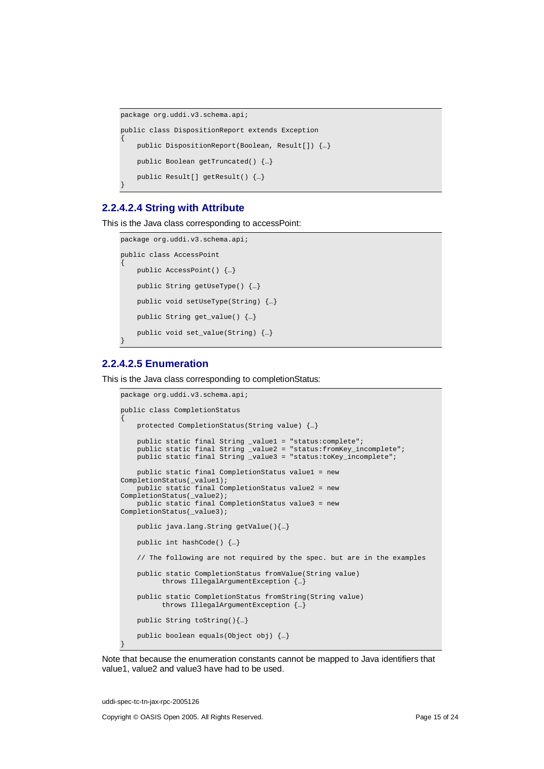```
package org.uddi.v3.schema.api;
public class DispositionReport extends Exception
{
    public DispositionReport(Boolean, Result[]) {…}
   public Boolean getTruncated() {…}
   public Result[] getResult() {…}
}
```
### **2.2.4.2.4 String with Attribute**

This is the Java class corresponding to accessPoint:

```
package org.uddi.v3.schema.api;
public class AccessPoint
{
   public AccessPoint() {…}
   public String getUseType() {…}
   public void setUseType(String) {…}
   public String get_value() {…}
   public void set_value(String) {…}
}
```
## **2.2.4.2.5 Enumeration**

This is the Java class corresponding to completionStatus:

```
package org.uddi.v3.schema.api;
public class CompletionStatus
{
   protected CompletionStatus(String value) {…}
    public static final String _value1 = "status:complete";
    public static final String _value2 = "status:fromKey_incomplete";
    public static final String _value3 = "status:toKey_incomplete";
   public static final CompletionStatus value1 = new
CompletionStatus(_value1);
   public static final CompletionStatus value2 = new
CompletionStatus(_value2);
   public static final CompletionStatus value3 = new
CompletionStatus(_value3);
   public java.lang.String getValue(){…}
   public int hashCode() {…}
    // The following are not required by the spec. but are in the examples
   public static CompletionStatus fromValue(String value)
          throws IllegalArgumentException {…}
   public static CompletionStatus fromString(String value)
          throws IllegalArgumentException {…}
   public String toString(){…}
   public boolean equals(Object obj) {…}
}
```


uddi-spec-tc-tn-jax-rpc-2005126

Copyright © OASIS Open 2005. All Rights Reserved. Page 15 of 24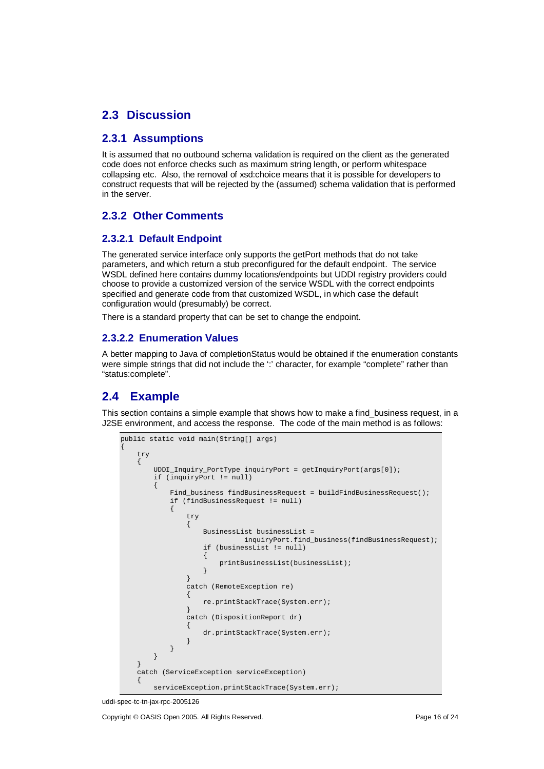## **2.3 Discussion**

## **2.3.1 Assumptions**

It is assumed that no outbound schema validation is required on the client as the generated code does not enforce checks such as maximum string length, or perform whitespace collapsing etc. Also, the removal of xsd:choice means that it is possible for developers to construct requests that will be rejected by the (assumed) schema validation that is performed in the server.

## **2.3.2 Other Comments**

## **2.3.2.1 Default Endpoint**

The generated service interface only supports the getPort methods that do not take parameters, and which return a stub preconfigured for the default endpoint. The service WSDL defined here contains dummy locations/endpoints but UDDI registry providers could choose to provide a customized version of the service WSDL with the correct endpoints specified and generate code from that customized WSDL, in which case the default configuration would (presumably) be correct.

There is a standard property that can be set to change the endpoint.

## **2.3.2.2 Enumeration Values**

A better mapping to Java of completionStatus would be obtained if the enumeration constants were simple strings that did not include the ':' character, for example "complete" rather than "status:complete".

## **2.4 Example**

This section contains a simple example that shows how to make a find business request, in a J2SE environment, and access the response. The code of the main method is as follows:

```
public static void main(String[] args)
{
    try
    {
        UDDI Inquiry PortType inquiryPort = qetInquiryPort(arqs[0]);
        if (inquiryPort != null)
        {
            Find business findBusinessRequest = buildFindBusinessRequest();
            if (findBusinessRequest != null)
            {
                try
                 {
                     BusinessList businessList =
                               inquiryPort.find_business(findBusinessRequest);
                     if (businessList != null)
                     {
                         printBusinessList(businessList);
                     }
                 }
                catch (RemoteException re)
                 {
                     re.printStackTrace(System.err);
                 }
                catch (DispositionReport dr)
                 {
                     dr.printStackTrace(System.err);
                 }
            }
        }
    }
    catch (ServiceException serviceException)
    {
        serviceException.printStackTrace(System.err);
```
uddi-spec-tc-tn-jax-rpc-2005126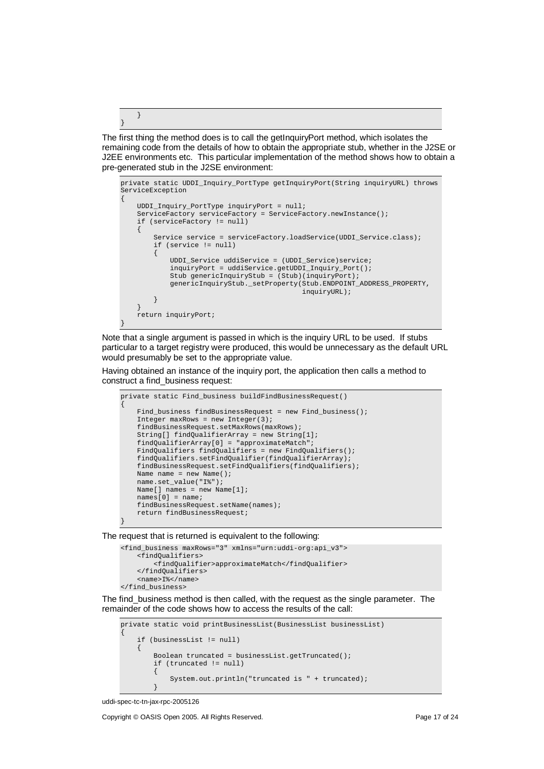The first thing the method does is to call the getInquiryPort method, which isolates the remaining code from the details of how to obtain the appropriate stub, whether in the J2SE or J2EE environments etc. This particular implementation of the method shows how to obtain a pre-generated stub in the J2SE environment:

```
private static UDDI_Inquiry_PortType getInquiryPort(String inquiryURL) throws
.<br>ServiceException
{
    UDDI_Inquiry_PortType inquiryPort = null;
    ServiceFactory serviceFactory = ServiceFactory.newInstance();
    if (serviceFactory != null)
    {
        Service service = serviceFactory.loadService(UDDI_Service.class);
        if (service != null)
        {
            UDDI_Service uddiService = (UDDI_Service)service;
            inquiryPort = uddiService.getUDDI_Inquiry_Port();
            Stub genericInquiryStub = (Stub)(inquiryPort);
            genericInquiryStub._setProperty(Stub.ENDPOINT_ADDRESS_PROPERTY,
                                             inquiryURL);
        }
    }
    return inquiryPort;
}
```
Note that a single argument is passed in which is the inquiry URL to be used. If stubs particular to a target registry were produced, this would be unnecessary as the default URL would presumably be set to the appropriate value.

Having obtained an instance of the inquiry port, the application then calls a method to construct a find\_business request:

```
private static Find_business buildFindBusinessRequest()
{
    Find_business findBusinessRequest = new Find_business();
    Integer maxRows = new Integer(3);
    findBusinessRequest.setMaxRows(maxRows);
   String[] findQualifierArray = new String[1];
    findQualifierArray[0] = "approximateMatch";
    FindQualifiers findQualifiers = new FindQualifiers();
    findQualifiers.setFindQualifier(findQualifierArray);
    findBusinessRequest.setFindQualifiers(findQualifiers);
   Name name = new Name();
   name.set_value("I%");
   Name[] n = new Name[1];
   names[0] = name;findBusinessRequest.setName(names);
    return findBusinessRequest;
}
```
The request that is returned is equivalent to the following:

```
<find_business maxRows="3" xmlns="urn:uddi-org:api_v3">
    <findQualifiers>
        <findQualifier>approximateMatch</findQualifier>
    </findQualifiers>
    <name>I%</name>
</find_business>
```
The find\_business method is then called, with the request as the single parameter. The remainder of the code shows how to access the results of the call:

```
private static void printBusinessList(BusinessList businessList)
{
    if (businessList != null)
    {
        Boolean truncated = businessList.getTruncated();
        if (truncated != null)
        {
            System.out.println("truncated is " + truncated);
        }
```
} }

uddi-spec-tc-tn-jax-rpc-2005126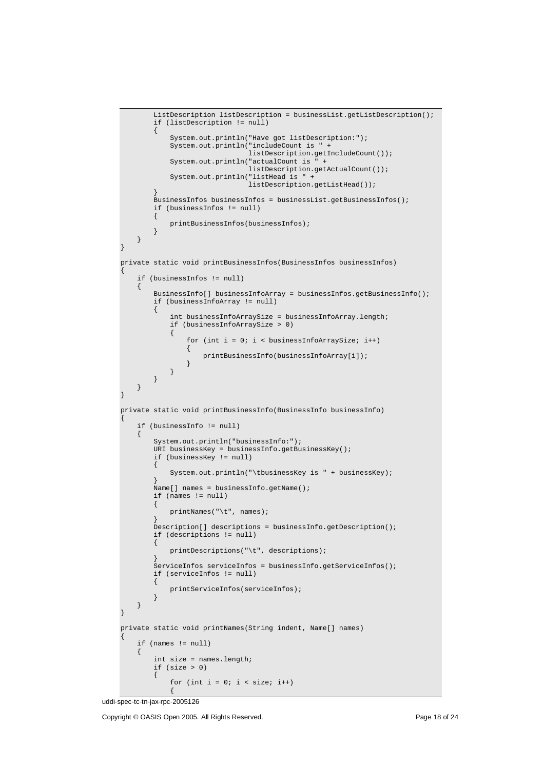```
\texttt{ListDescription}\textcolor{black}{|}{\hspace{1.5pt}}{\textbf{ListDescription}}\textcolor{black}{|}{\hspace{1.5pt}}{\textbf{listDescription}}\textcolor{black}{|}{\hspace{1.5pt}}{\textbf{listDescription}}\textcolor{black}{|}{\hspace{1.5pt}}{\textbf{listDescription}}\textcolor{black}{|}{\hspace{1.5pt}}{\textbf{listDescription}}\textcolor{black}{|}{\hspace{1.5pt}}{\textbf{listDescription}}\textcolor{black}{|}{\hspace{1.5pt}}{\textbf{listDescription}}\textcolor{black}{|}{\hspace{1.5pt}}{\textbf{list>Description}}\textcolor{black}{|}{\hspace{1.5pt}}{\textbf{listif (listDescription != null)
          {
                System.out.println("Have got listDescription:");
                System.out.println("includeCount is "
                                         listDescription.getIncludeCount());
                System.out.println("actualCount is
                                         listDescription.getActualCount());
                System.out.println("listHead is " +
                                         .<br>listDescription.getListHead());
          }
          BusinessInfos businessInfos = businessList.getBusinessInfos();
          if (businessInfos != null)
          {
                printBusinessInfos(businessInfos);
          }
     }
}
private static void printBusinessInfos(BusinessInfos businessInfos)
{
     if (businessInfos != null)
     {
          BusinessInfo[] businessInfoArray = businessInfos.getBusinessInfo();
          if (businessInfoArray != null)
           {
                int businessInfoArraySize = businessInfoArray.length;
                if (businessInfoArraySize > 0)
                {
                     for (int i = 0; i < businessInfoArraySize; i++)
                      {
                           printBusinessInfo(businessInfoArray[i]);
                      }
                }
          }
     }
}
private static void printBusinessInfo(BusinessInfo businessInfo)
{
     if (businessInfo != null)
     {
          System.out.println("businessInfo:");
           URI businessKey = businessInfo.getBusinessKey();
           if (businessKey != null)
          {
               System.out.println("\tbusinessKey is " + businessKey);
           }
          Name[] names = businessInfo.getName();
          if (names != null)
          {
                printNames("\t", names);
           }
          Description[] descriptions = businessInfo.getDescription();
          if (descriptions != null)
          {
                printDescriptions("\t", descriptions);
           }
          ServiceInfos serviceInfos = businessInfo.getServiceInfos();
          if (serviceInfos != null)
          {
                printServiceInfos(serviceInfos);
          }
     }
}
private static void printNames(String indent, Name[] names)
{
     if (names != null)
     {
          int size = names.length;
          if (size > 0){
                for (int i = 0; i < size; i++)
                {
```
uddi-spec-tc-tn-jax-rpc-2005126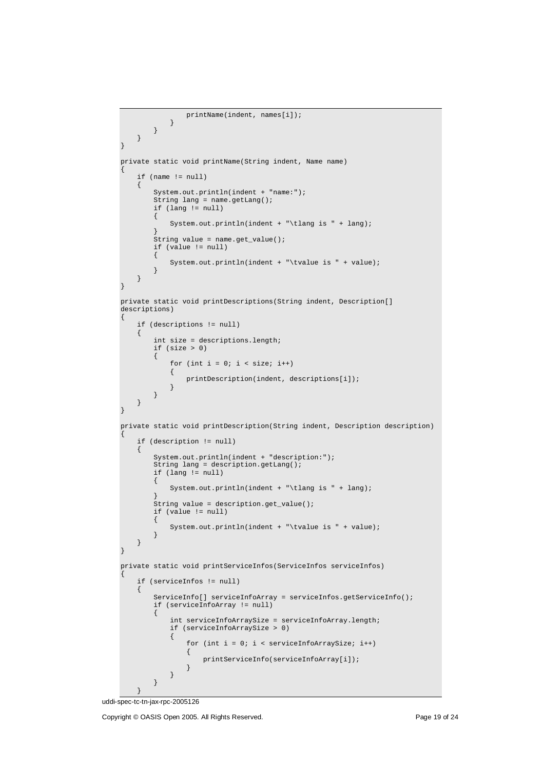```
printName(indent, names[i]);
            }
        }
   }
}
private static void printName(String indent, Name name)
{
    if (name != null)
    {
        System.out.println(indent + "name:");
        String lang = name.getLang();
        if (lang != null)
        {
            System.out.println(indent + "\tlang is " + lang);
        }
        String value = name.get_value();
        if (value != null)
        {
            System.out.println(indent + "\tvalue is " + value);
        }
    }
}
private static void printDescriptions(String indent, Description[]
descriptions)
{
    if (descriptions != null)
    {
        int size = descriptions.length;
        if (size > 0)
        {
            for (int i = 0; i < size; i++){
                printDescription(indent, descriptions[i]);
            }
        }
   }
}
private static void printDescription(String indent, Description description)
{
    if (description != null)
    {
        System.out.println(indent + "description:");
        String lang = description.getLang();
        if (lang != null)
        {
            System.out.println(indent + "\tlang is " + lang);
        }
        String value = description.get_value();
        if (value != null)
        {
            System.out.println(indent + "\tvalue is " + value);
        }
    }
}
private static void printServiceInfos(ServiceInfos serviceInfos)
{
    if (serviceInfos != null)
    {
        ServiceInfo[] serviceInfoArray = serviceInfos.getServiceInfo();
        if (serviceInfoArray != null)
        {
            int serviceInfoArraySize = serviceInfoArray.length;
            if (serviceInfoArraySize > 0)
            {
                for (int i = 0; i < serviceInfoArraySize; i++)
                {
                    printServiceInfo(serviceInfoArray[i]);
                }
            }
        }
```
uddi-spec-tc-tn-jax-rpc-2005126

}

Copyright © OASIS Open 2005. All Rights Reserved. Page 19 of 24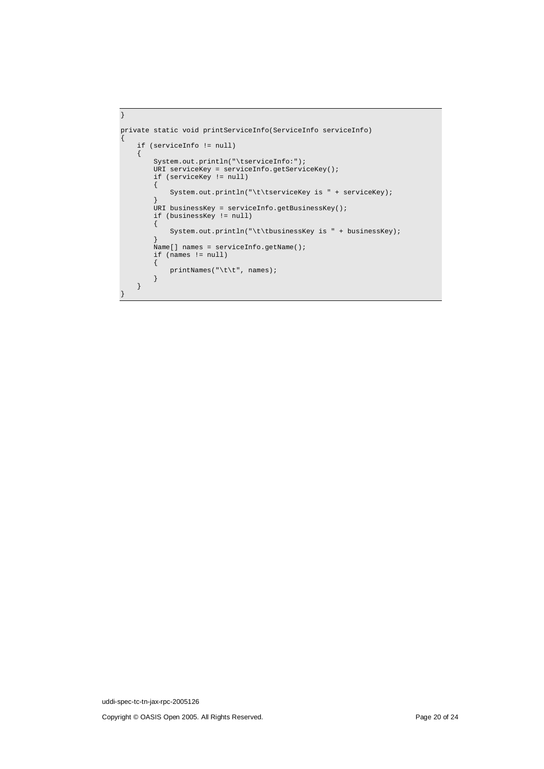```
}
private static void printServiceInfo(ServiceInfo serviceInfo)
{
    if (serviceInfo != null)
    {
        System.out.println("\tserviceInfo:");
        URI serviceKey = serviceInfo.getServiceKey();
        if (serviceKey != null)
        {
            System.out.println("\t\tserviceKey is " + serviceKey);
        }
        URI businessKey = serviceInfo.getBusinessKey();
        if (businessKey != null)
        \{System.out.println("\t\tbusinessKey is " + businessKey);
        }
        Name[] names = serviceInfo.getName();
        if (names != null)
        {
            printNames("\t\t", names);
       }
   }
}
```
uddi-spec-tc-tn-jax-rpc-2005126

Copyright © OASIS Open 2005. All Rights Reserved. Page 20 of 24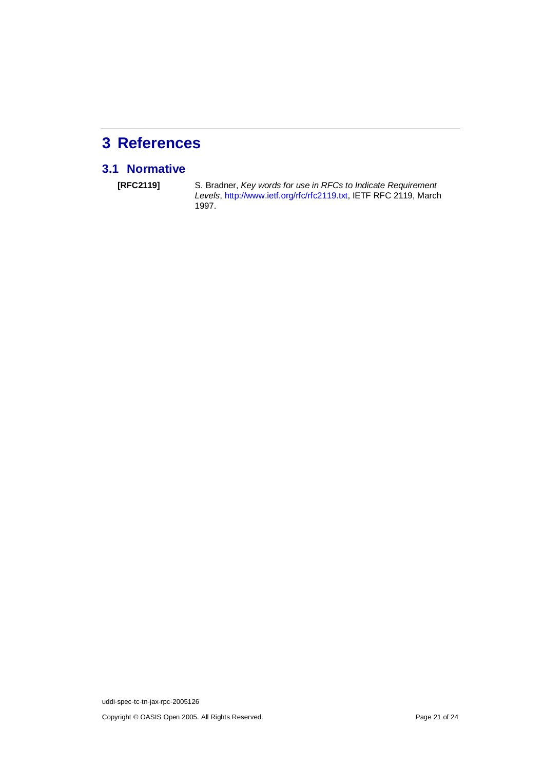# **3 References**

## **3.1 Normative**

**[RFC2119]** S. Bradner, Key words for use in RFCs to Indicate Requirement Levels, http://www.ietf.org/rfc/rfc2119.txt, IETF RFC 2119, March 1997.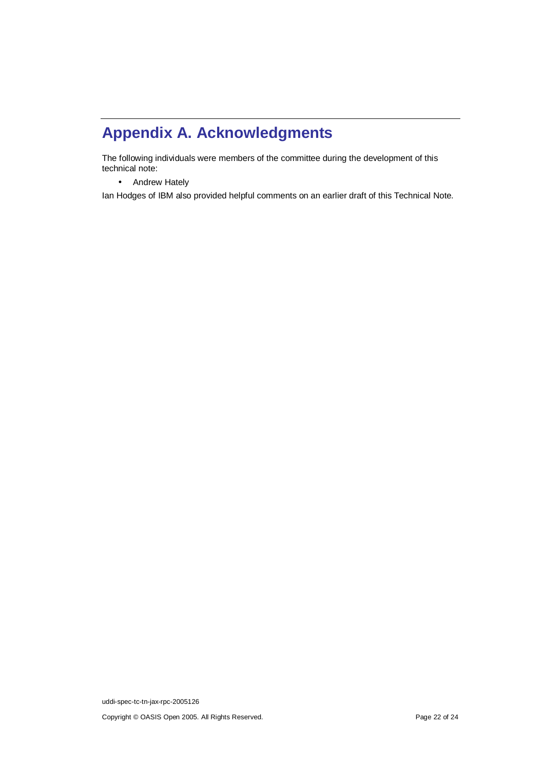# **Appendix A. Acknowledgments**

The following individuals were members of the committee during the development of this technical note:

• Andrew Hately

Ian Hodges of IBM also provided helpful comments on an earlier draft of this Technical Note.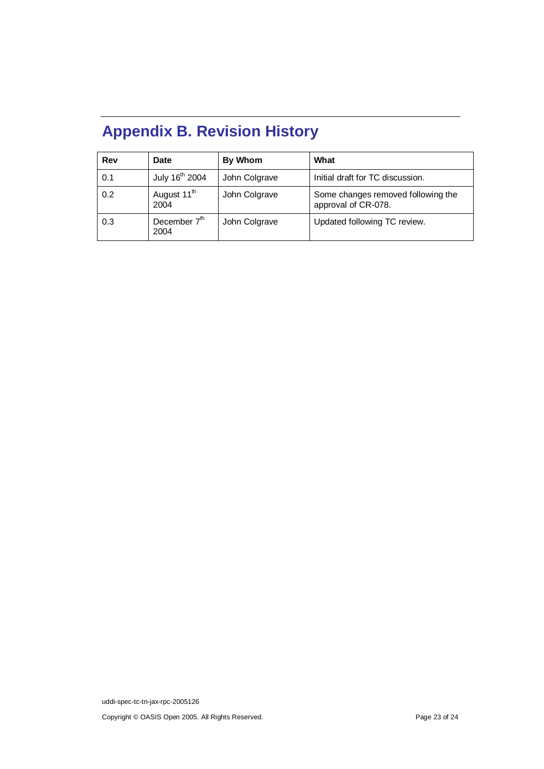# **Appendix B. Revision History**

| Rev | <b>Date</b>                      | By Whom       | What                                                      |
|-----|----------------------------------|---------------|-----------------------------------------------------------|
| 0.1 | July 16 <sup>th</sup> 2004       | John Colgrave | Initial draft for TC discussion.                          |
| 0.2 | August 11 <sup>th</sup><br>2004  | John Colgrave | Some changes removed following the<br>approval of CR-078. |
| 0.3 | December 7 <sup>th</sup><br>2004 | John Colgrave | Updated following TC review.                              |